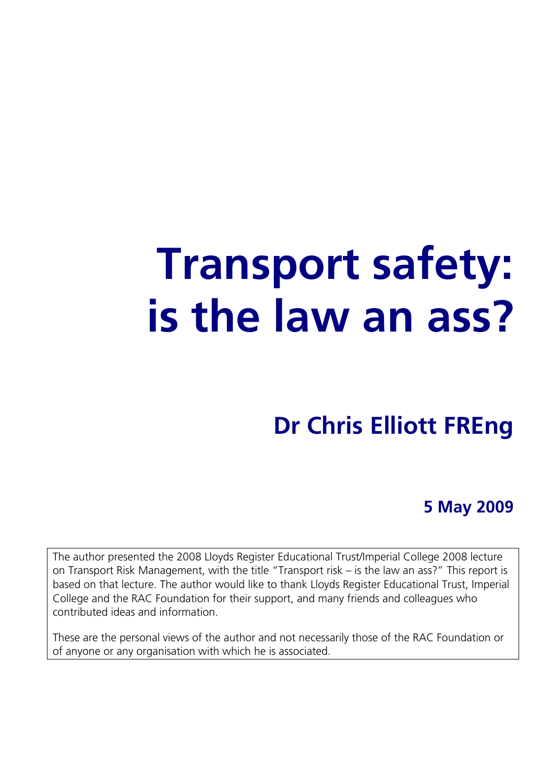# **Transport safety: is the law an ass?**

# **Dr Chris Elliott FREng**

**5 May 2009** 

The author presented the 2008 Lloyds Register Educational Trust/Imperial College 2008 lecture on Transport Risk Management, with the title "Transport risk – is the law an ass?" This report is based on that lecture. The author would like to thank Lloyds Register Educational Trust, Imperial College and the RAC Foundation for their support, and many friends and colleagues who contributed ideas and information.

These are the personal views of the author and not necessarily those of the RAC Foundation or of anyone or any organisation with which he is associated.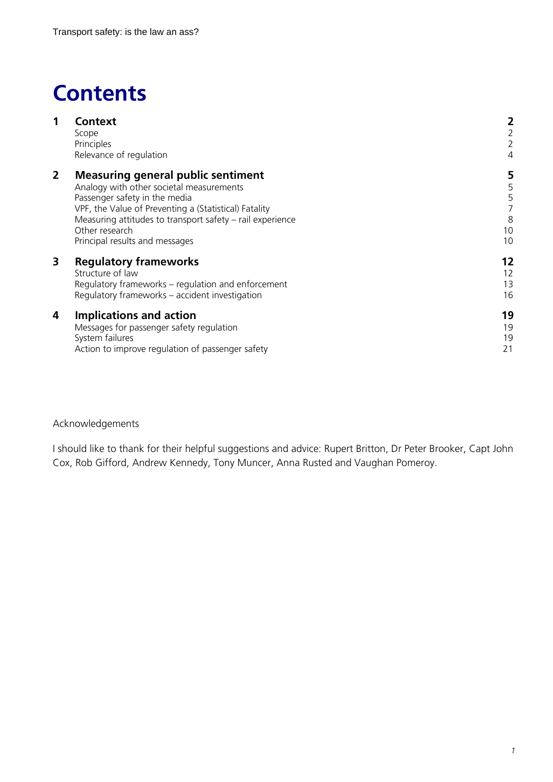# **Contents**

| 1              | <b>Context</b><br>Scope<br>Principles<br>Relevance of regulation                                                                                                                                                                                                                                 | 2<br>2<br>$\overline{2}$<br>$\overline{4}$ |
|----------------|--------------------------------------------------------------------------------------------------------------------------------------------------------------------------------------------------------------------------------------------------------------------------------------------------|--------------------------------------------|
| $\overline{2}$ | <b>Measuring general public sentiment</b><br>Analogy with other societal measurements<br>Passenger safety in the media<br>VPF, the Value of Preventing a (Statistical) Fatality<br>Measuring attitudes to transport safety – rail experience<br>Other research<br>Principal results and messages | 5<br>5<br>5<br>8<br>10<br>10               |
| 3              | <b>Regulatory frameworks</b><br>Structure of law<br>Regulatory frameworks – regulation and enforcement<br>Regulatory frameworks – accident investigation                                                                                                                                         | 12<br>12<br>13<br>16                       |
| 4              | <b>Implications and action</b><br>Messages for passenger safety regulation<br>System failures<br>Action to improve regulation of passenger safety                                                                                                                                                | 19<br>19<br>19<br>21                       |

Acknowledgements

I should like to thank for their helpful suggestions and advice: Rupert Britton, Dr Peter Brooker, Capt John Cox, Rob Gifford, Andrew Kennedy, Tony Muncer, Anna Rusted and Vaughan Pomeroy.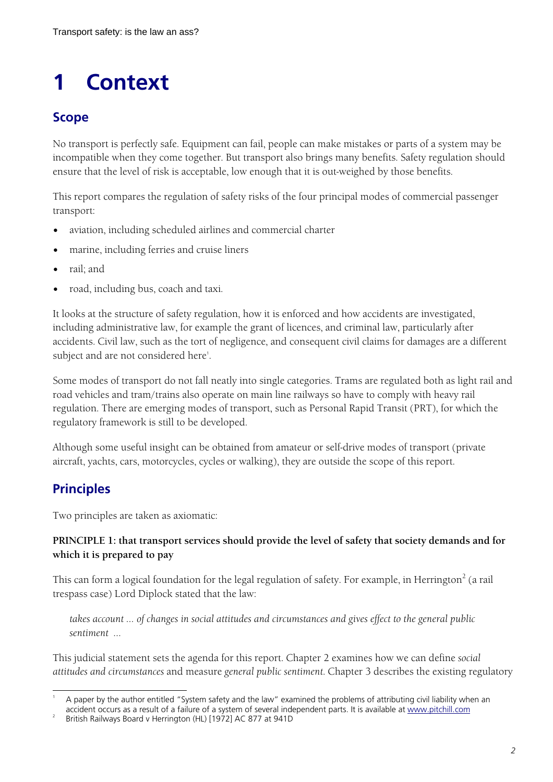# **1 Context**

# **Scope**

No transport is perfectly safe. Equipment can fail, people can make mistakes or parts of a system may be incompatible when they come together. But transport also brings many benefits. Safety regulation should ensure that the level of risk is acceptable, low enough that it is out-weighed by those benefits.

This report compares the regulation of safety risks of the four principal modes of commercial passenger transport:

- aviation, including scheduled airlines and commercial charter
- marine, including ferries and cruise liners
- rail; and
- road, including bus, coach and taxi.

It looks at the structure of safety regulation, how it is enforced and how accidents are investigated, including administrative law, for example the grant of licences, and criminal law, particularly after accidents. Civil law, such as the tort of negligence, and consequent civil claims for damages are a different subject and are not considered here'.

Some modes of transport do not fall neatly into single categories. Trams are regulated both as light rail and road vehicles and tram/trains also operate on main line railways so have to comply with heavy rail regulation. There are emerging modes of transport, such as Personal Rapid Transit (PRT), for which the regulatory framework is still to be developed.

Although some useful insight can be obtained from amateur or self-drive modes of transport (private aircraft, yachts, cars, motorcycles, cycles or walking), they are outside the scope of this report.

# **Principles**

Two principles are taken as axiomatic:

### **PRINCIPLE 1: that transport services should provide the level of safety that society demands and for which it is prepared to pay**

This can form a logical foundation for the legal regulation of safety. For example, in Herrington $^2$  (a rail trespass case) Lord Diplock stated that the law:

*takes account … of changes in social attitudes and circumstances and gives effect to the general public sentiment …* 

This judicial statement sets the agenda for this report. Chapter 2 examines how we can define *social attitudes and circumstances* and measure *general public sentiment*. Chapter 3 describes the existing regulatory

 $\overline{a}$ 1 A paper by the author entitled "System safety and the law" examined the problems of attributing civil liability when an accident occurs as a result of a failure of a system of several independent parts. It is available at www.pitchill.com

British Railways Board v Herrington (HL) [1972] AC 877 at 941D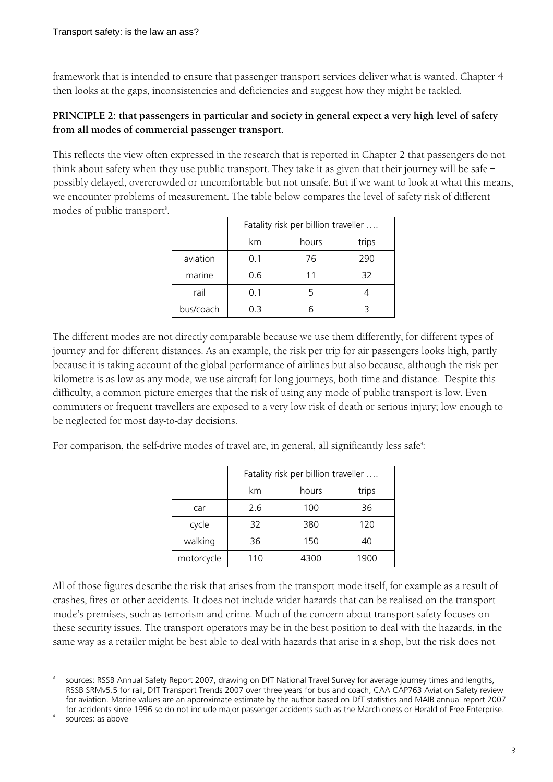framework that is intended to ensure that passenger transport services deliver what is wanted. Chapter 4 then looks at the gaps, inconsistencies and deficiencies and suggest how they might be tackled.

### **PRINCIPLE 2: that passengers in particular and society in general expect a very high level of safety from all modes of commercial passenger transport.**

This reflects the view often expressed in the research that is reported in Chapter 2 that passengers do not think about safety when they use public transport. They take it as given that their journey will be safe – possibly delayed, overcrowded or uncomfortable but not unsafe. But if we want to look at what this means, we encounter problems of measurement. The table below compares the level of safety risk of different modes of public transport<sup>3</sup>.

|           | Fatality risk per billion traveller |       |       |  |
|-----------|-------------------------------------|-------|-------|--|
|           | km                                  | hours | trips |  |
| aviation  | 0.1                                 | 76    | 290   |  |
| marine    | 0.6                                 | 11    | 32    |  |
| rail      | 0.1                                 |       |       |  |
| bus/coach | 0.3                                 |       |       |  |

The different modes are not directly comparable because we use them differently, for different types of journey and for different distances. As an example, the risk per trip for air passengers looks high, partly because it is taking account of the global performance of airlines but also because, although the risk per kilometre is as low as any mode, we use aircraft for long journeys, both time and distance. Despite this difficulty, a common picture emerges that the risk of using any mode of public transport is low. Even commuters or frequent travellers are exposed to a very low risk of death or serious injury; low enough to be neglected for most day-to-day decisions.

For comparison, the self-drive modes of travel are, in general, all significantly less safe $^\circ$ :

|            | Fatality risk per billion traveller |       |       |  |
|------------|-------------------------------------|-------|-------|--|
|            | km                                  | hours | trips |  |
| car        | 2.6                                 | 100   | 36    |  |
| cycle      | 32                                  | 380   | 120   |  |
| walking    | 36                                  | 150   | 40    |  |
| motorcycle | 110                                 | 4300  | 1900  |  |

All of those figures describe the risk that arises from the transport mode itself, for example as a result of crashes, fires or other accidents. It does not include wider hazards that can be realised on the transport mode's premises, such as terrorism and crime. Much of the concern about transport safety focuses on these security issues. The transport operators may be in the best position to deal with the hazards, in the same way as a retailer might be best able to deal with hazards that arise in a shop, but the risk does not

 $\overline{a}$ 3 sources: RSSB Annual Safety Report 2007, drawing on DfT National Travel Survey for average journey times and lengths, RSSB SRMv5.5 for rail, DfT Transport Trends 2007 over three years for bus and coach, CAA CAP763 Aviation Safety review for aviation. Marine values are an approximate estimate by the author based on DfT statistics and MAIB annual report 2007 for accidents since 1996 so do not include major passenger accidents such as the Marchioness or Herald of Free Enterprise.

<sup>4</sup> sources: as above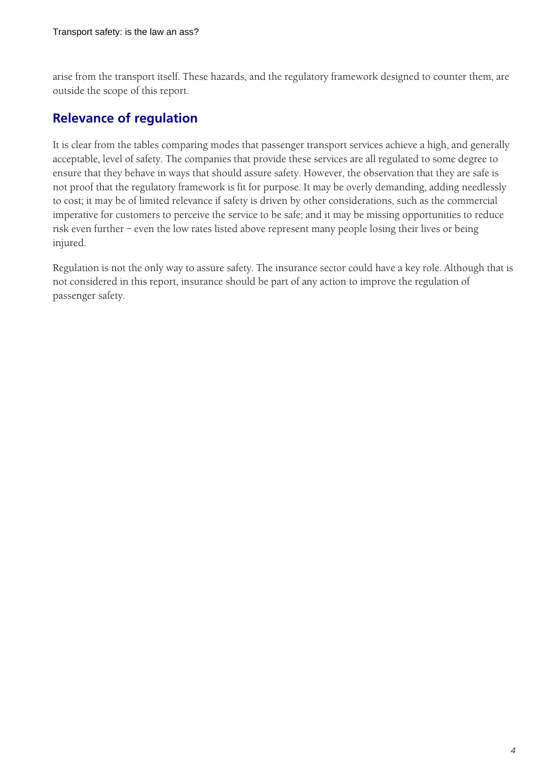arise from the transport itself. These hazards, and the regulatory framework designed to counter them, are outside the scope of this report.

# **Relevance of regulation**

It is clear from the tables comparing modes that passenger transport services achieve a high, and generally acceptable, level of safety. The companies that provide these services are all regulated to some degree to ensure that they behave in ways that should assure safety. However, the observation that they are safe is not proof that the regulatory framework is fit for purpose. It may be overly demanding, adding needlessly to cost; it may be of limited relevance if safety is driven by other considerations, such as the commercial imperative for customers to perceive the service to be safe; and it may be missing opportunities to reduce risk even further – even the low rates listed above represent many people losing their lives or being injured.

Regulation is not the only way to assure safety. The insurance sector could have a key role. Although that is not considered in this report, insurance should be part of any action to improve the regulation of passenger safety.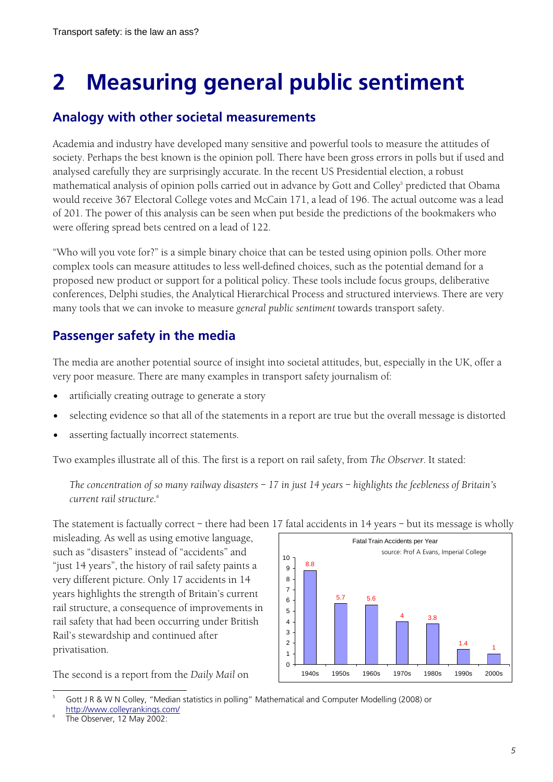# **2 Measuring general public sentiment**

# **Analogy with other societal measurements**

Academia and industry have developed many sensitive and powerful tools to measure the attitudes of society. Perhaps the best known is the opinion poll. There have been gross errors in polls but if used and analysed carefully they are surprisingly accurate. In the recent US Presidential election, a robust mathematical analysis of opinion polls carried out in advance by Gott and Colley<sup>s</sup> predicted that Obama would receive 367 Electoral College votes and McCain 171, a lead of 196. The actual outcome was a lead of 201. The power of this analysis can be seen when put beside the predictions of the bookmakers who were offering spread bets centred on a lead of 122.

"Who will you vote for?" is a simple binary choice that can be tested using opinion polls. Other more complex tools can measure attitudes to less well-defined choices, such as the potential demand for a proposed new product or support for a political policy. These tools include focus groups, deliberative conferences, Delphi studies, the Analytical Hierarchical Process and structured interviews. There are very many tools that we can invoke to measure *general public sentiment* towards transport safety.

# **Passenger safety in the media**

The media are another potential source of insight into societal attitudes, but, especially in the UK, offer a very poor measure. There are many examples in transport safety journalism of:

- artificially creating outrage to generate a story
- selecting evidence so that all of the statements in a report are true but the overall message is distorted
- asserting factually incorrect statements.

Two examples illustrate all of this. The first is a report on rail safety, from *The Observer*. It stated:

*The concentration of so many railway disasters – 17 in just 14 years – highlights the feebleness of Britain's current rail structure.<sup>6</sup>*

The statement is factually correct – there had been 17 fatal accidents in 14 years – but its message is wholly

misleading. As well as using emotive language, such as "disasters" instead of "accidents" and "just 14 years", the history of rail safety paints a very different picture. Only 17 accidents in 14 years highlights the strength of Britain's current rail structure, a consequence of improvements in rail safety that had been occurring under British Rail's stewardship and continued after privatisation.

The second is a report from the *Daily Mail* on



 $\overline{a}$ 5 Gott J R & W N Colley, "Median statistics in polling" Mathematical and Computer Modelling (2008) or http://www.colleyrankings.com/ 6

The Observer, 12 May 2002: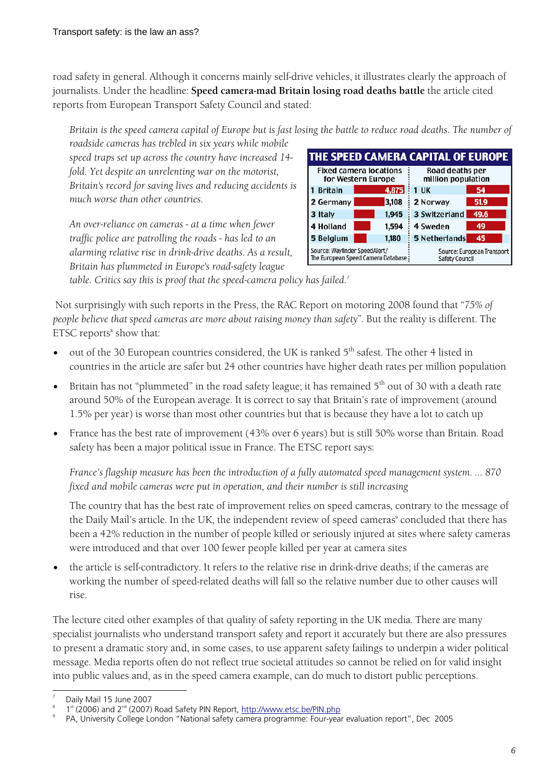road safety in general. Although it concerns mainly self-drive vehicles, it illustrates clearly the approach of journalists. Under the headline: **Speed camera-mad Britain losing road deaths battle** the article cited reports from European Transport Safety Council and stated:

*Britain is the speed camera capital of Europe but is fast losing the battle to reduce road deaths. The number of* 

*roadside cameras has trebled in six years while mobile speed traps set up across the country have increased 14 fold. Yet despite an unrelenting war on the motorist, Britain's record for saving lives and reducing accidents is much worse than other countries.* 

*An over-reliance on cameras - at a time when fewer traffic police are patrolling the roads - has led to an alarming relative rise in drink-drive deaths. As a result, Britain has plummeted in Europe's road-safety league* 



*table. Critics say this is proof that the speed-camera policy has failed.<sup>7</sup>*

 Not surprisingly with such reports in the Press, the RAC Report on motoring 2008 found that "*75% of people believe that speed cameras are more about raising money than safety*". But the reality is different. The  $ETSC$  reports $^8$  show that:

- out of the 30 European countries considered, the UK is ranked 5<sup>th</sup> safest. The other 4 listed in countries in the article are safer but 24 other countries have higher death rates per million population
- Britain has not "plummeted" in the road safety league; it has remained  $5<sup>th</sup>$  out of 30 with a death rate around 50% of the European average. It is correct to say that Britain's rate of improvement (around 1.5% per year) is worse than most other countries but that is because they have a lot to catch up
- France has the best rate of improvement (43% over 6 years) but is still 50% worse than Britain. Road safety has been a major political issue in France. The ETSC report says:

*France's flagship measure has been the introduction of a fully automated speed management system. … 870 fixed and mobile cameras were put in operation, and their number is still increasing* 

The country that has the best rate of improvement relies on speed cameras, contrary to the message of the Daily Mail's article. In the UK, the independent review of speed cameras° concluded that there has been a 42% reduction in the number of people killed or seriously injured at sites where safety cameras were introduced and that over 100 fewer people killed per year at camera sites

• the article is self-contradictory. It refers to the relative rise in drink-drive deaths; if the cameras are working the number of speed-related deaths will fall so the relative number due to other causes will rise.

The lecture cited other examples of that quality of safety reporting in the UK media. There are many specialist journalists who understand transport safety and report it accurately but there are also pressures to present a dramatic story and, in some cases, to use apparent safety failings to underpin a wider political message. Media reports often do not reflect true societal attitudes so cannot be relied on for valid insight into public values and, as in the speed camera example, can do much to distort public perceptions.

 $\overline{a}$ 7 Daily Mail 15 June 2007

<sup>1</sup>st (2006) and 2<sup>nd</sup> (2007) Road Safety PIN Report, http://www.etsc.be/PIN.php

PA, University College London "National safety camera programme: Four-year evaluation report", Dec 2005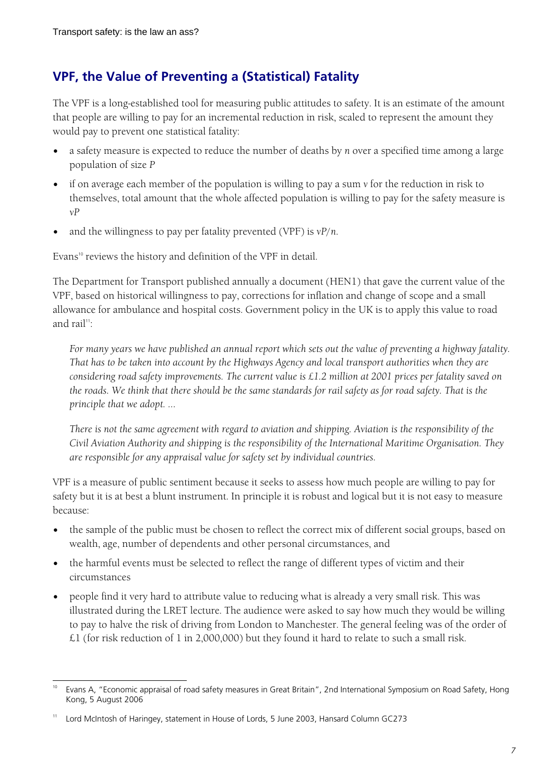# **VPF, the Value of Preventing a (Statistical) Fatality**

The VPF is a long-established tool for measuring public attitudes to safety. It is an estimate of the amount that people are willing to pay for an incremental reduction in risk, scaled to represent the amount they would pay to prevent one statistical fatality:

- a safety measure is expected to reduce the number of deaths by *n* over a specified time among a large population of size *P*
- if on average each member of the population is willing to pay a sum *v* for the reduction in risk to themselves, total amount that the whole affected population is willing to pay for the safety measure is *vP*
- and the willingness to pay per fatality prevented (VPF) is *vP*/*n*.

Evans<sup>10</sup> reviews the history and definition of the VPF in detail.

The Department for Transport published annually a document (HEN1) that gave the current value of the VPF, based on historical willingness to pay, corrections for inflation and change of scope and a small allowance for ambulance and hospital costs. Government policy in the UK is to apply this value to road and rail<sup>11</sup>

*For many years we have published an annual report which sets out the value of preventing a highway fatality. That has to be taken into account by the Highways Agency and local transport authorities when they are considering road safety improvements. The current value is £1.2 million at 2001 prices per fatality saved on the roads. We think that there should be the same standards for rail safety as for road safety. That is the principle that we adopt. ...* 

*There is not the same agreement with regard to aviation and shipping. Aviation is the responsibility of the Civil Aviation Authority and shipping is the responsibility of the International Maritime Organisation. They are responsible for any appraisal value for safety set by individual countries.* 

VPF is a measure of public sentiment because it seeks to assess how much people are willing to pay for safety but it is at best a blunt instrument. In principle it is robust and logical but it is not easy to measure because:

- the sample of the public must be chosen to reflect the correct mix of different social groups, based on wealth, age, number of dependents and other personal circumstances, and
- the harmful events must be selected to reflect the range of different types of victim and their circumstances
- people find it very hard to attribute value to reducing what is already a very small risk. This was illustrated during the LRET lecture. The audience were asked to say how much they would be willing to pay to halve the risk of driving from London to Manchester. The general feeling was of the order of £1 (for risk reduction of 1 in 2,000,000) but they found it hard to relate to such a small risk.

 $\overline{a}$ Evans A, "Economic appraisal of road safety measures in Great Britain", 2nd International Symposium on Road Safety, Hong Kong, 5 August 2006

<sup>11</sup> Lord McIntosh of Haringey, statement in House of Lords, 5 June 2003, Hansard Column GC273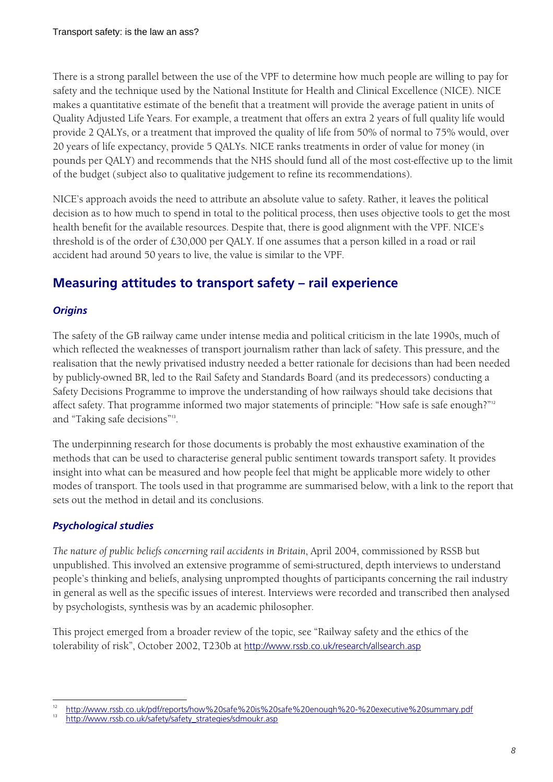There is a strong parallel between the use of the VPF to determine how much people are willing to pay for safety and the technique used by the National Institute for Health and Clinical Excellence (NICE). NICE makes a quantitative estimate of the benefit that a treatment will provide the average patient in units of Quality Adjusted Life Years. For example, a treatment that offers an extra 2 years of full quality life would provide 2 QALYs, or a treatment that improved the quality of life from 50% of normal to 75% would, over 20 years of life expectancy, provide 5 QALYs. NICE ranks treatments in order of value for money (in pounds per QALY) and recommends that the NHS should fund all of the most cost-effective up to the limit of the budget (subject also to qualitative judgement to refine its recommendations).

NICE's approach avoids the need to attribute an absolute value to safety. Rather, it leaves the political decision as to how much to spend in total to the political process, then uses objective tools to get the most health benefit for the available resources. Despite that, there is good alignment with the VPF. NICE's threshold is of the order of £30,000 per QALY. If one assumes that a person killed in a road or rail accident had around 50 years to live, the value is similar to the VPF.

# **Measuring attitudes to transport safety – rail experience**

## *Origins*

The safety of the GB railway came under intense media and political criticism in the late 1990s, much of which reflected the weaknesses of transport journalism rather than lack of safety. This pressure, and the realisation that the newly privatised industry needed a better rationale for decisions than had been needed by publicly-owned BR, led to the Rail Safety and Standards Board (and its predecessors) conducting a Safety Decisions Programme to improve the understanding of how railways should take decisions that affect safety. That programme informed two major statements of principle: "How safe is safe enough?"<sup>12</sup> and "Taking safe decisions"<sup>13</sup> .

The underpinning research for those documents is probably the most exhaustive examination of the methods that can be used to characterise general public sentiment towards transport safety. It provides insight into what can be measured and how people feel that might be applicable more widely to other modes of transport. The tools used in that programme are summarised below, with a link to the report that sets out the method in detail and its conclusions.

## *Psychological studies*

*The nature of public beliefs concerning rail accidents in Britain*, April 2004, commissioned by RSSB but unpublished. This involved an extensive programme of semi-structured, depth interviews to understand people's thinking and beliefs, analysing unprompted thoughts of participants concerning the rail industry in general as well as the specific issues of interest. Interviews were recorded and transcribed then analysed by psychologists, synthesis was by an academic philosopher.

This project emerged from a broader review of the topic, see "Railway safety and the ethics of the tolerability of risk", October 2002, T230b at http://www.rssb.co.uk/research/allsearch.asp

 $\overline{a}$ <sup>12</sup> http://www.rssb.co.uk/pdf/reports/how%20safe%20is%20safe%20enough%20-%20executive%20summary.pdf

<sup>13</sup> http://www.rssb.co.uk/safety/safety\_strategies/sdmoukr.asp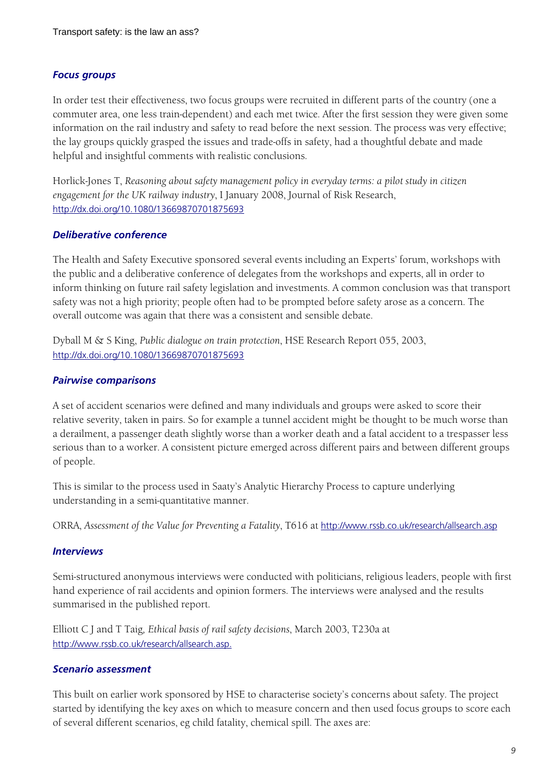#### *Focus groups*

In order test their effectiveness, two focus groups were recruited in different parts of the country (one a commuter area, one less train-dependent) and each met twice. After the first session they were given some information on the rail industry and safety to read before the next session. The process was very effective; the lay groups quickly grasped the issues and trade-offs in safety, had a thoughtful debate and made helpful and insightful comments with realistic conclusions.

Horlick-Jones T, *Reasoning about safety management policy in everyday terms: a pilot study in citizen engagement for the UK railway industry*, I January 2008, Journal of Risk Research, http://dx.doi.org/10.1080/13669870701875693

#### *Deliberative conference*

The Health and Safety Executive sponsored several events including an Experts' forum, workshops with the public and a deliberative conference of delegates from the workshops and experts, all in order to inform thinking on future rail safety legislation and investments. A common conclusion was that transport safety was not a high priority; people often had to be prompted before safety arose as a concern. The overall outcome was again that there was a consistent and sensible debate.

Dyball M & S King, *Public dialogue on train protection*, HSE Research Report 055, 2003, http://dx.doi.org/10.1080/13669870701875693

#### *Pairwise comparisons*

A set of accident scenarios were defined and many individuals and groups were asked to score their relative severity, taken in pairs. So for example a tunnel accident might be thought to be much worse than a derailment, a passenger death slightly worse than a worker death and a fatal accident to a trespasser less serious than to a worker. A consistent picture emerged across different pairs and between different groups of people.

This is similar to the process used in Saaty's Analytic Hierarchy Process to capture underlying understanding in a semi-quantitative manner.

ORRA, *Assessment of the Value for Preventing a Fatality*, T616 at http://www.rssb.co.uk/research/allsearch.asp

#### *Interviews*

Semi-structured anonymous interviews were conducted with politicians, religious leaders, people with first hand experience of rail accidents and opinion formers. The interviews were analysed and the results summarised in the published report.

Elliott C J and T Taig*, Ethical basis of rail safety decisions*, March 2003, T230a at http://www.rssb.co.uk/research/allsearch.asp.

#### *Scenario assessment*

This built on earlier work sponsored by HSE to characterise society's concerns about safety. The project started by identifying the key axes on which to measure concern and then used focus groups to score each of several different scenarios, eg child fatality, chemical spill. The axes are: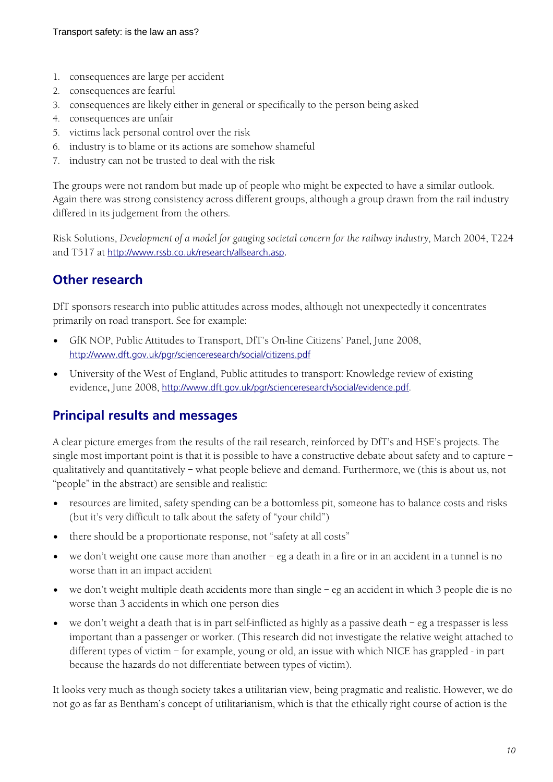- 1. consequences are large per accident
- 2. consequences are fearful
- 3. consequences are likely either in general or specifically to the person being asked
- 4. consequences are unfair
- 5. victims lack personal control over the risk
- 6. industry is to blame or its actions are somehow shameful
- 7. industry can not be trusted to deal with the risk

The groups were not random but made up of people who might be expected to have a similar outlook. Again there was strong consistency across different groups, although a group drawn from the rail industry differed in its judgement from the others.

Risk Solutions, *Development of a model for gauging societal concern for the railway industry*, March 2004, T224 and T517 at http://www.rssb.co.uk/research/allsearch.asp.

# **Other research**

DfT sponsors research into public attitudes across modes, although not unexpectedly it concentrates primarily on road transport. See for example:

- GfK NOP, Public Attitudes to Transport, DfT's On-line Citizens' Panel, June 2008, http://www.dft.gov.uk/pgr/scienceresearch/social/citizens.pdf
- University of the West of England, Public attitudes to transport: Knowledge review of existing evidence**,** June 2008, http://www.dft.gov.uk/pgr/scienceresearch/social/evidence.pdf.

# **Principal results and messages**

A clear picture emerges from the results of the rail research, reinforced by DfT's and HSE's projects. The single most important point is that it is possible to have a constructive debate about safety and to capture – qualitatively and quantitatively – what people believe and demand. Furthermore, we (this is about us, not "people" in the abstract) are sensible and realistic:

- resources are limited, safety spending can be a bottomless pit, someone has to balance costs and risks (but it's very difficult to talk about the safety of "your child")
- there should be a proportionate response, not "safety at all costs"
- we don't weight one cause more than another eg a death in a fire or in an accident in a tunnel is no worse than in an impact accident
- we don't weight multiple death accidents more than single eg an accident in which 3 people die is no worse than 3 accidents in which one person dies
- we don't weight a death that is in part self-inflicted as highly as a passive death eg a trespasser is less important than a passenger or worker. (This research did not investigate the relative weight attached to different types of victim – for example, young or old, an issue with which NICE has grappled - in part because the hazards do not differentiate between types of victim).

It looks very much as though society takes a utilitarian view, being pragmatic and realistic. However, we do not go as far as Bentham's concept of utilitarianism, which is that the ethically right course of action is the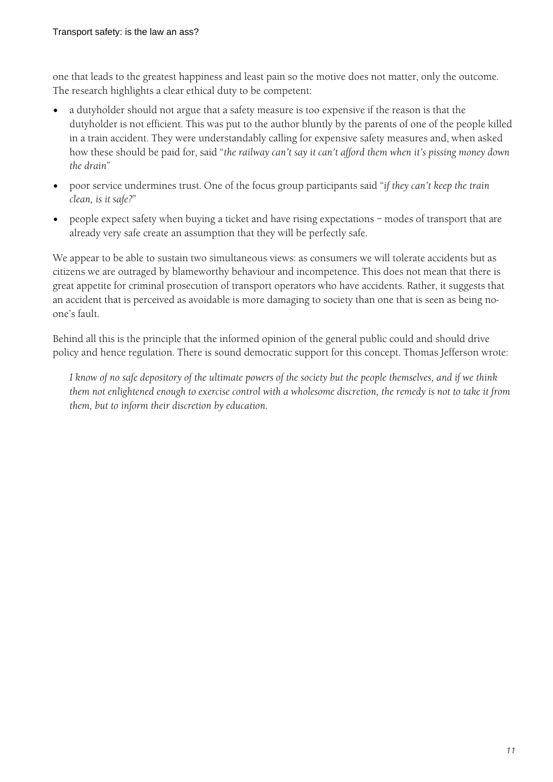one that leads to the greatest happiness and least pain so the motive does not matter, only the outcome. The research highlights a clear ethical duty to be competent:

- a dutyholder should not argue that a safety measure is too expensive if the reason is that the dutyholder is not efficient. This was put to the author bluntly by the parents of one of the people killed in a train accident. They were understandably calling for expensive safety measures and, when asked how these should be paid for, said "*the railway can't say it can't afford them when it's pissing money down the drain*"
- poor service undermines trust. One of the focus group participants said "*if they can't keep the train clean, is it safe?*"
- people expect safety when buying a ticket and have rising expectations modes of transport that are already very safe create an assumption that they will be perfectly safe.

We appear to be able to sustain two simultaneous views: as consumers we will tolerate accidents but as citizens we are outraged by blameworthy behaviour and incompetence. This does not mean that there is great appetite for criminal prosecution of transport operators who have accidents. Rather, it suggests that an accident that is perceived as avoidable is more damaging to society than one that is seen as being noone's fault.

Behind all this is the principle that the informed opinion of the general public could and should drive policy and hence regulation. There is sound democratic support for this concept. Thomas Jefferson wrote:

*I know of no safe depository of the ultimate powers of the society but the people themselves, and if we think them not enlightened enough to exercise control with a wholesome discretion, the remedy is not to take it from them, but to inform their discretion by education.*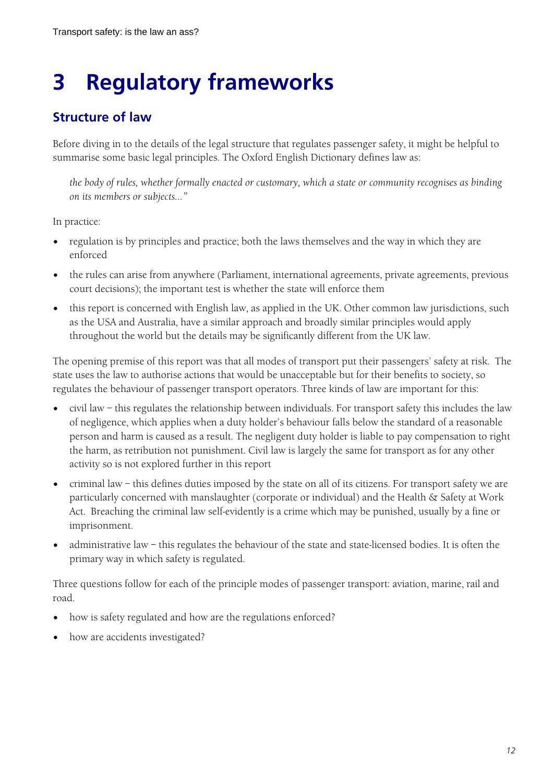# **3 Regulatory frameworks**

# **Structure of law**

Before diving in to the details of the legal structure that regulates passenger safety, it might be helpful to summarise some basic legal principles. The Oxford English Dictionary defines law as:

*the body of rules, whether formally enacted or customary, which a state or community recognises as binding on its members or subjects…"* 

In practice:

- regulation is by principles and practice; both the laws themselves and the way in which they are enforced
- the rules can arise from anywhere (Parliament, international agreements, private agreements, previous court decisions); the important test is whether the state will enforce them
- this report is concerned with English law, as applied in the UK. Other common law jurisdictions, such as the USA and Australia, have a similar approach and broadly similar principles would apply throughout the world but the details may be significantly different from the UK law.

The opening premise of this report was that all modes of transport put their passengers' safety at risk. The state uses the law to authorise actions that would be unacceptable but for their benefits to society, so regulates the behaviour of passenger transport operators. Three kinds of law are important for this:

- civil law this regulates the relationship between individuals. For transport safety this includes the law of negligence, which applies when a duty holder's behaviour falls below the standard of a reasonable person and harm is caused as a result. The negligent duty holder is liable to pay compensation to right the harm, as retribution not punishment. Civil law is largely the same for transport as for any other activity so is not explored further in this report
- criminal law this defines duties imposed by the state on all of its citizens. For transport safety we are particularly concerned with manslaughter (corporate or individual) and the Health & Safety at Work Act. Breaching the criminal law self-evidently is a crime which may be punished, usually by a fine or imprisonment.
- administrative law this regulates the behaviour of the state and state-licensed bodies. It is often the primary way in which safety is regulated.

Three questions follow for each of the principle modes of passenger transport: aviation, marine, rail and road.

- how is safety regulated and how are the regulations enforced?
- how are accidents investigated?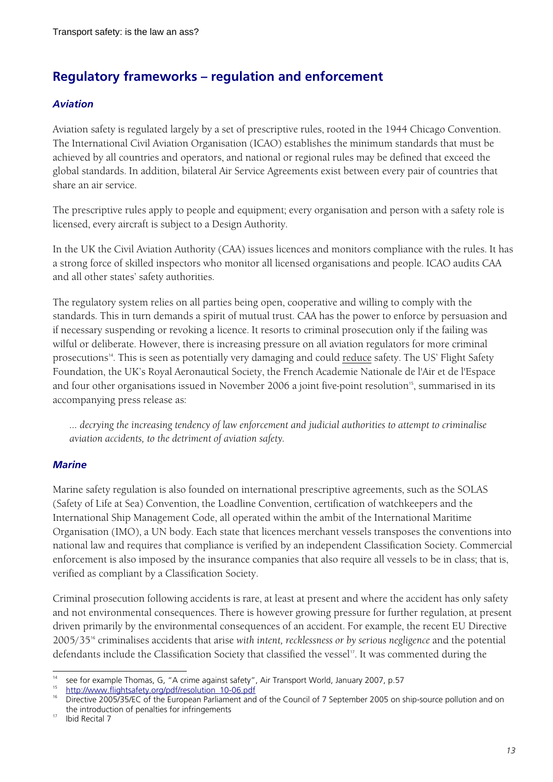# **Regulatory frameworks – regulation and enforcement**

#### *Aviation*

Aviation safety is regulated largely by a set of prescriptive rules, rooted in the 1944 Chicago Convention. The International Civil Aviation Organisation (ICAO) establishes the minimum standards that must be achieved by all countries and operators, and national or regional rules may be defined that exceed the global standards. In addition, bilateral Air Service Agreements exist between every pair of countries that share an air service.

The prescriptive rules apply to people and equipment; every organisation and person with a safety role is licensed, every aircraft is subject to a Design Authority.

In the UK the Civil Aviation Authority (CAA) issues licences and monitors compliance with the rules. It has a strong force of skilled inspectors who monitor all licensed organisations and people. ICAO audits CAA and all other states' safety authorities.

The regulatory system relies on all parties being open, cooperative and willing to comply with the standards. This in turn demands a spirit of mutual trust. CAA has the power to enforce by persuasion and if necessary suspending or revoking a licence. It resorts to criminal prosecution only if the failing was wilful or deliberate. However, there is increasing pressure on all aviation regulators for more criminal prosecutions<sup>14</sup>. This is seen as potentially very damaging and could reduce safety. The US' Flight Safety Foundation, the UK's Royal Aeronautical Society, the French Academie Nationale de l'Air et de l'Espace and four other organisations issued in November 2006 a joint five-point resolution<sup>15</sup>, summarised in its accompanying press release as:

*… decrying the increasing tendency of law enforcement and judicial authorities to attempt to criminalise aviation accidents, to the detriment of aviation safety.* 

### *Marine*

Marine safety regulation is also founded on international prescriptive agreements, such as the SOLAS (Safety of Life at Sea) Convention, the Loadline Convention, certification of watchkeepers and the International Ship Management Code, all operated within the ambit of the International Maritime Organisation (IMO), a UN body. Each state that licences merchant vessels transposes the conventions into national law and requires that compliance is verified by an independent Classification Society. Commercial enforcement is also imposed by the insurance companies that also require all vessels to be in class; that is, verified as compliant by a Classification Society.

Criminal prosecution following accidents is rare, at least at present and where the accident has only safety and not environmental consequences. There is however growing pressure for further regulation, at present driven primarily by the environmental consequences of an accident. For example, the recent EU Directive 2005/3516 criminalises accidents that arise *with intent, recklessness or by serious negligence* and the potential defendants include the Classification Society that classified the vessel<sup>17</sup>. It was commented during the

 $\overline{a}$ see for example Thomas, G, "A crime against safety", Air Transport World, January 2007, p.57 http://www.flightsafety.org/pdf/resolution\_10-06.pdf

<sup>16</sup> Directive 2005/35/EC of the European Parliament and of the Council of 7 September 2005 on ship-source pollution and on the introduction of penalties for infringements

<sup>17</sup> Ibid Recital 7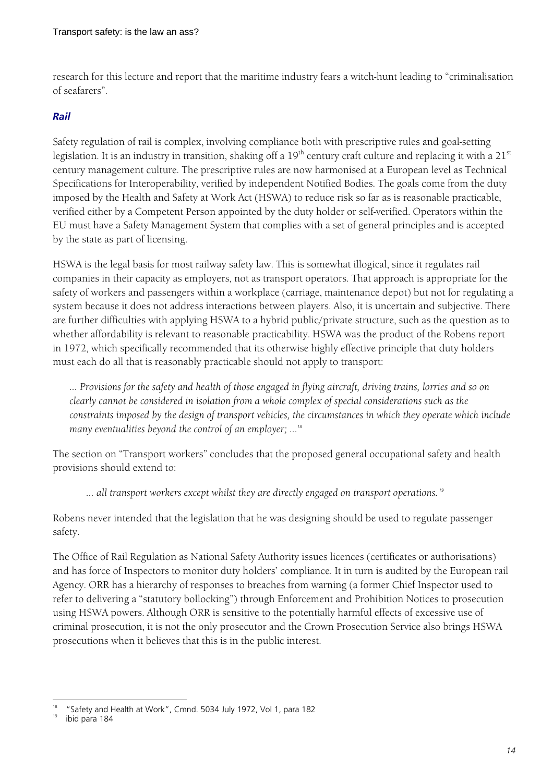research for this lecture and report that the maritime industry fears a witch-hunt leading to "criminalisation of seafarers".

#### *Rail*

Safety regulation of rail is complex, involving compliance both with prescriptive rules and goal-setting legislation. It is an industry in transition, shaking off a  $19<sup>th</sup>$  century craft culture and replacing it with a 21 $<sup>st</sup>$ </sup> century management culture. The prescriptive rules are now harmonised at a European level as Technical Specifications for Interoperability, verified by independent Notified Bodies. The goals come from the duty imposed by the Health and Safety at Work Act (HSWA) to reduce risk so far as is reasonable practicable, verified either by a Competent Person appointed by the duty holder or self-verified. Operators within the EU must have a Safety Management System that complies with a set of general principles and is accepted by the state as part of licensing.

HSWA is the legal basis for most railway safety law. This is somewhat illogical, since it regulates rail companies in their capacity as employers, not as transport operators. That approach is appropriate for the safety of workers and passengers within a workplace (carriage, maintenance depot) but not for regulating a system because it does not address interactions between players. Also, it is uncertain and subjective. There are further difficulties with applying HSWA to a hybrid public/private structure, such as the question as to whether affordability is relevant to reasonable practicability. HSWA was the product of the Robens report in 1972, which specifically recommended that its otherwise highly effective principle that duty holders must each do all that is reasonably practicable should not apply to transport:

*… Provisions for the safety and health of those engaged in flying aircraft, driving trains, lorries and so on clearly cannot be considered in isolation from a whole complex of special considerations such as the constraints imposed by the design of transport vehicles, the circumstances in which they operate which include many eventualities beyond the control of an employer; …<sup>18</sup>*

The section on "Transport workers" concludes that the proposed general occupational safety and health provisions should extend to:

 *… all transport workers except whilst they are directly engaged on transport operations.<sup>19</sup>*

Robens never intended that the legislation that he was designing should be used to regulate passenger safety.

The Office of Rail Regulation as National Safety Authority issues licences (certificates or authorisations) and has force of Inspectors to monitor duty holders' compliance. It in turn is audited by the European rail Agency. ORR has a hierarchy of responses to breaches from warning (a former Chief Inspector used to refer to delivering a "statutory bollocking") through Enforcement and Prohibition Notices to prosecution using HSWA powers. Although ORR is sensitive to the potentially harmful effects of excessive use of criminal prosecution, it is not the only prosecutor and the Crown Prosecution Service also brings HSWA prosecutions when it believes that this is in the public interest.

 $\overline{a}$ 18 "Safety and Health at Work", Cmnd. 5034 July 1972, Vol 1, para 182

ibid para 184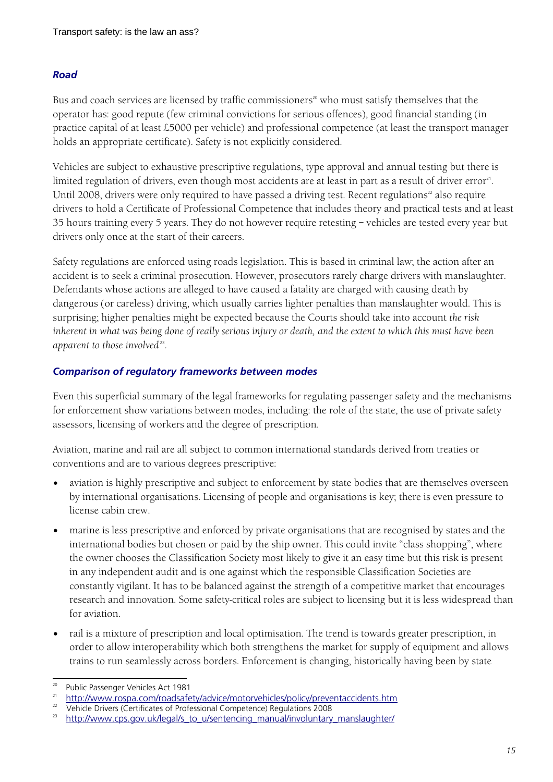#### *Road*

Bus and coach services are licensed by traffic commissioners<sup>20</sup> who must satisfy themselves that the operator has: good repute (few criminal convictions for serious offences), good financial standing (in practice capital of at least £5000 per vehicle) and professional competence (at least the transport manager holds an appropriate certificate). Safety is not explicitly considered.

Vehicles are subject to exhaustive prescriptive regulations, type approval and annual testing but there is limited regulation of drivers, even though most accidents are at least in part as a result of driver error<sup>21</sup>. Until 2008, drivers were only required to have passed a driving test. Recent regulations<sup>22</sup> also require drivers to hold a Certificate of Professional Competence that includes theory and practical tests and at least 35 hours training every 5 years. They do not however require retesting – vehicles are tested every year but drivers only once at the start of their careers.

Safety regulations are enforced using roads legislation. This is based in criminal law; the action after an accident is to seek a criminal prosecution. However, prosecutors rarely charge drivers with manslaughter. Defendants whose actions are alleged to have caused a fatality are charged with causing death by dangerous (or careless) driving, which usually carries lighter penalties than manslaughter would. This is surprising; higher penalties might be expected because the Courts should take into account *the risk inherent in what was being done of really serious injury or death, and the extent to which this must have been apparent to those involved*<sup>23</sup>.

#### *Comparison of regulatory frameworks between modes*

Even this superficial summary of the legal frameworks for regulating passenger safety and the mechanisms for enforcement show variations between modes, including: the role of the state, the use of private safety assessors, licensing of workers and the degree of prescription.

Aviation, marine and rail are all subject to common international standards derived from treaties or conventions and are to various degrees prescriptive:

- aviation is highly prescriptive and subject to enforcement by state bodies that are themselves overseen by international organisations. Licensing of people and organisations is key; there is even pressure to license cabin crew.
- marine is less prescriptive and enforced by private organisations that are recognised by states and the international bodies but chosen or paid by the ship owner. This could invite "class shopping", where the owner chooses the Classification Society most likely to give it an easy time but this risk is present in any independent audit and is one against which the responsible Classification Societies are constantly vigilant. It has to be balanced against the strength of a competitive market that encourages research and innovation. Some safety-critical roles are subject to licensing but it is less widespread than for aviation.
- rail is a mixture of prescription and local optimisation. The trend is towards greater prescription, in order to allow interoperability which both strengthens the market for supply of equipment and allows trains to run seamlessly across borders. Enforcement is changing, historically having been by state

 $\frac{1}{20}$ 

Public Passenger Vehicles Act 1981<br>
21 http://www.rospa.com/roadsafety/advice/motorvehicles/policy/preventaccidents.htm<br>
22 http://www.rospa.com/roadsafety/advice/motorvehicles/policy/preventaccidents.htm

<sup>22</sup> Vehicle Drivers (Certificates of Professional Competence) Regulations 2008

<sup>23</sup> http://www.cps.gov.uk/legal/s\_to\_u/sentencing\_manual/involuntary\_manslaughter/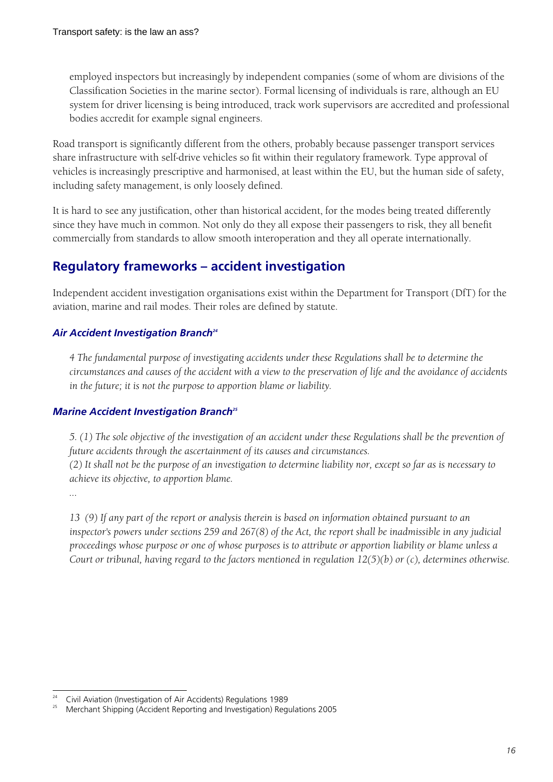employed inspectors but increasingly by independent companies (some of whom are divisions of the Classification Societies in the marine sector). Formal licensing of individuals is rare, although an EU system for driver licensing is being introduced, track work supervisors are accredited and professional bodies accredit for example signal engineers.

Road transport is significantly different from the others, probably because passenger transport services share infrastructure with self-drive vehicles so fit within their regulatory framework. Type approval of vehicles is increasingly prescriptive and harmonised, at least within the EU, but the human side of safety, including safety management, is only loosely defined.

It is hard to see any justification, other than historical accident, for the modes being treated differently since they have much in common. Not only do they all expose their passengers to risk, they all benefit commercially from standards to allow smooth interoperation and they all operate internationally.

# **Regulatory frameworks – accident investigation**

Independent accident investigation organisations exist within the Department for Transport (DfT) for the aviation, marine and rail modes. Their roles are defined by statute.

#### **Air Accident Investigation Branch<sup>24</sup>**

*4 The fundamental purpose of investigating accidents under these Regulations shall be to determine the circumstances and causes of the accident with a view to the preservation of life and the avoidance of accidents in the future; it is not the purpose to apportion blame or liability.* 

#### *Marine Accident Investigation Branch<sup>25</sup></sup>*

*5. (1) The sole objective of the investigation of an accident under these Regulations shall be the prevention of future accidents through the ascertainment of its causes and circumstances.* 

*(2) It shall not be the purpose of an investigation to determine liability nor, except so far as is necessary to achieve its objective, to apportion blame.* 

*…* 

*13 (9) If any part of the report or analysis therein is based on information obtained pursuant to an inspector's powers under sections 259 and 267(8) of the Act, the report shall be inadmissible in any judicial proceedings whose purpose or one of whose purposes is to attribute or apportion liability or blame unless a Court or tribunal, having regard to the factors mentioned in regulation 12(5)(b) or (c), determines otherwise.* 

 $\overline{a}$ 24 <sup>24</sup> Civil Aviation (Investigation of Air Accidents) Regulations 1989

<sup>25</sup> Merchant Shipping (Accident Reporting and Investigation) Regulations 2005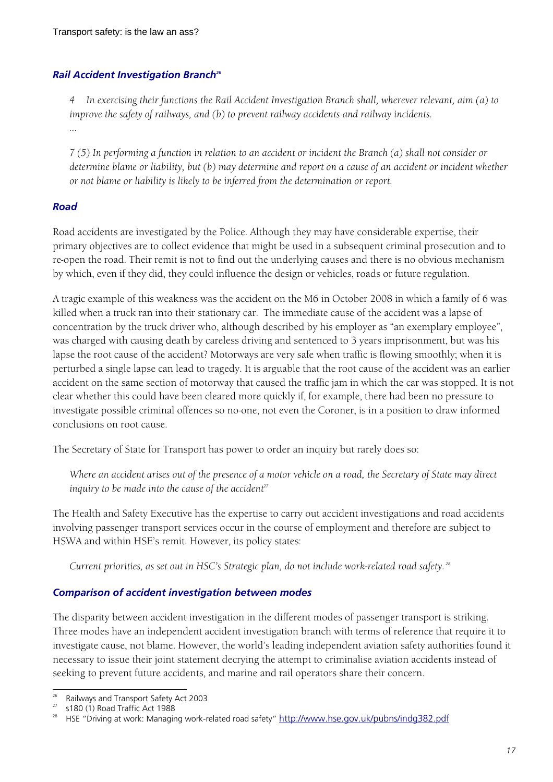#### *Rail Accident Investigation Branch26*

*4 In exercising their functions the Rail Accident Investigation Branch shall, wherever relevant, aim (a) to improve the safety of railways, and (b) to prevent railway accidents and railway incidents. …* 

*7 (5) In performing a function in relation to an accident or incident the Branch (a) shall not consider or determine blame or liability, but (b) may determine and report on a cause of an accident or incident whether or not blame or liability is likely to be inferred from the determination or report.* 

#### *Road*

Road accidents are investigated by the Police. Although they may have considerable expertise, their primary objectives are to collect evidence that might be used in a subsequent criminal prosecution and to re-open the road. Their remit is not to find out the underlying causes and there is no obvious mechanism by which, even if they did, they could influence the design or vehicles, roads or future regulation.

A tragic example of this weakness was the accident on the M6 in October 2008 in which a family of 6 was killed when a truck ran into their stationary car. The immediate cause of the accident was a lapse of concentration by the truck driver who, although described by his employer as "an exemplary employee", was charged with causing death by careless driving and sentenced to 3 years imprisonment, but was his lapse the root cause of the accident? Motorways are very safe when traffic is flowing smoothly; when it is perturbed a single lapse can lead to tragedy. It is arguable that the root cause of the accident was an earlier accident on the same section of motorway that caused the traffic jam in which the car was stopped. It is not clear whether this could have been cleared more quickly if, for example, there had been no pressure to investigate possible criminal offences so no-one, not even the Coroner, is in a position to draw informed conclusions on root cause.

The Secretary of State for Transport has power to order an inquiry but rarely does so:

*Where an accident arises out of the presence of a motor vehicle on a road, the Secretary of State may direct inquiry to be made into the cause of the accident<sup>27</sup>*

The Health and Safety Executive has the expertise to carry out accident investigations and road accidents involving passenger transport services occur in the course of employment and therefore are subject to HSWA and within HSE's remit. However, its policy states:

*Current priorities, as set out in HSC's Strategic plan, do not include work-related road safety.<sup>28</sup>*

#### *Comparison of accident investigation between modes*

The disparity between accident investigation in the different modes of passenger transport is striking. Three modes have an independent accident investigation branch with terms of reference that require it to investigate cause, not blame. However, the world's leading independent aviation safety authorities found it necessary to issue their joint statement decrying the attempt to criminalise aviation accidents instead of seeking to prevent future accidents, and marine and rail operators share their concern.

 $\frac{1}{26}$ Railways and Transport Safety Act 2003

 $27$  s180 (1) Road Traffic Act 1988

<sup>&</sup>lt;sup>28</sup> HSE "Driving at work: Managing work-related road safety" http://www.hse.gov.uk/pubns/indg382.pdf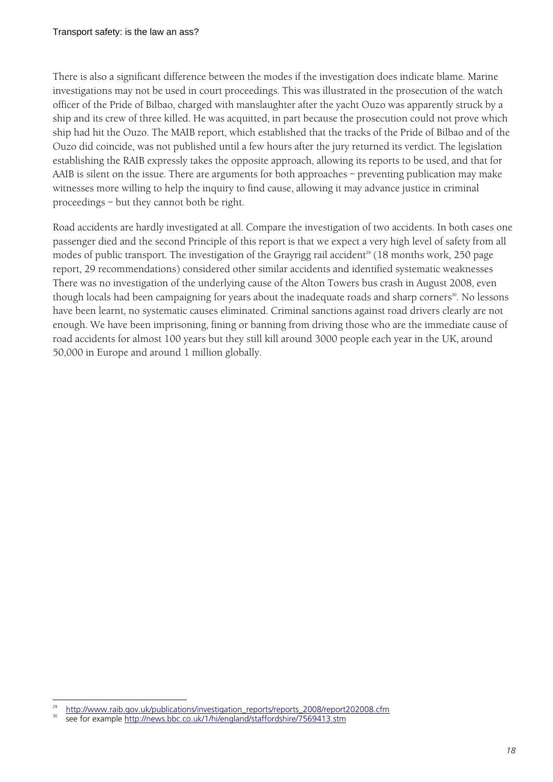There is also a significant difference between the modes if the investigation does indicate blame. Marine investigations may not be used in court proceedings. This was illustrated in the prosecution of the watch officer of the Pride of Bilbao, charged with manslaughter after the yacht Ouzo was apparently struck by a ship and its crew of three killed. He was acquitted, in part because the prosecution could not prove which ship had hit the Ouzo. The MAIB report, which established that the tracks of the Pride of Bilbao and of the Ouzo did coincide, was not published until a few hours after the jury returned its verdict. The legislation establishing the RAIB expressly takes the opposite approach, allowing its reports to be used, and that for AAIB is silent on the issue. There are arguments for both approaches – preventing publication may make witnesses more willing to help the inquiry to find cause, allowing it may advance justice in criminal proceedings – but they cannot both be right.

Road accidents are hardly investigated at all. Compare the investigation of two accidents. In both cases one passenger died and the second Principle of this report is that we expect a very high level of safety from all modes of public transport. The investigation of the Grayrigg rail accident<sup>29</sup> (18 months work, 250 page report, 29 recommendations) considered other similar accidents and identified systematic weaknesses There was no investigation of the underlying cause of the Alton Towers bus crash in August 2008, even though locals had been campaigning for years about the inadequate roads and sharp corners<sup>30</sup>. No lessons have been learnt, no systematic causes eliminated. Criminal sanctions against road drivers clearly are not enough. We have been imprisoning, fining or banning from driving those who are the immediate cause of road accidents for almost 100 years but they still kill around 3000 people each year in the UK, around 50,000 in Europe and around 1 million globally.

 $\overline{a}$ 

http://www.raib.gov.uk/publications/investigation\_reports/reports\_2008/report202008.cfm<br>see for example http://news.bbc.co.uk/1/hi/england/staffordshire/7569413.stm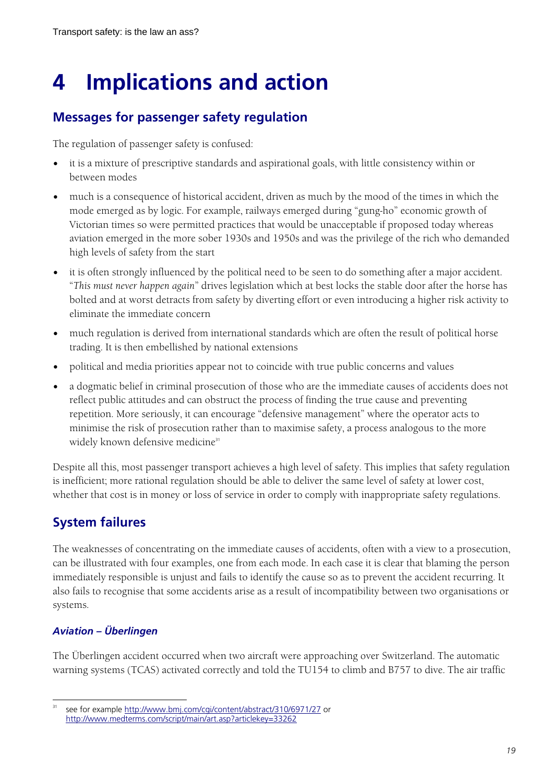# **4 Implications and action**

# **Messages for passenger safety regulation**

The regulation of passenger safety is confused:

- it is a mixture of prescriptive standards and aspirational goals, with little consistency within or between modes
- much is a consequence of historical accident, driven as much by the mood of the times in which the mode emerged as by logic. For example, railways emerged during "gung-ho" economic growth of Victorian times so were permitted practices that would be unacceptable if proposed today whereas aviation emerged in the more sober 1930s and 1950s and was the privilege of the rich who demanded high levels of safety from the start
- it is often strongly influenced by the political need to be seen to do something after a major accident. "*This must never happen again*" drives legislation which at best locks the stable door after the horse has bolted and at worst detracts from safety by diverting effort or even introducing a higher risk activity to eliminate the immediate concern
- much regulation is derived from international standards which are often the result of political horse trading. It is then embellished by national extensions
- political and media priorities appear not to coincide with true public concerns and values
- a dogmatic belief in criminal prosecution of those who are the immediate causes of accidents does not reflect public attitudes and can obstruct the process of finding the true cause and preventing repetition. More seriously, it can encourage "defensive management" where the operator acts to minimise the risk of prosecution rather than to maximise safety, a process analogous to the more widely known defensive medicine<sup>31</sup>

Despite all this, most passenger transport achieves a high level of safety. This implies that safety regulation is inefficient; more rational regulation should be able to deliver the same level of safety at lower cost, whether that cost is in money or loss of service in order to comply with inappropriate safety regulations.

# **System failures**

The weaknesses of concentrating on the immediate causes of accidents, often with a view to a prosecution, can be illustrated with four examples, one from each mode. In each case it is clear that blaming the person immediately responsible is unjust and fails to identify the cause so as to prevent the accident recurring. It also fails to recognise that some accidents arise as a result of incompatibility between two organisations or systems.

# *Aviation – Überlingen*

The Überlingen accident occurred when two aircraft were approaching over Switzerland. The automatic warning systems (TCAS) activated correctly and told the TU154 to climb and B757 to dive. The air traffic

 $\overline{a}$ see for example http://www.bmj.com/cgi/content/abstract/310/6971/27 or http://www.medterms.com/script/main/art.asp?articlekey=33262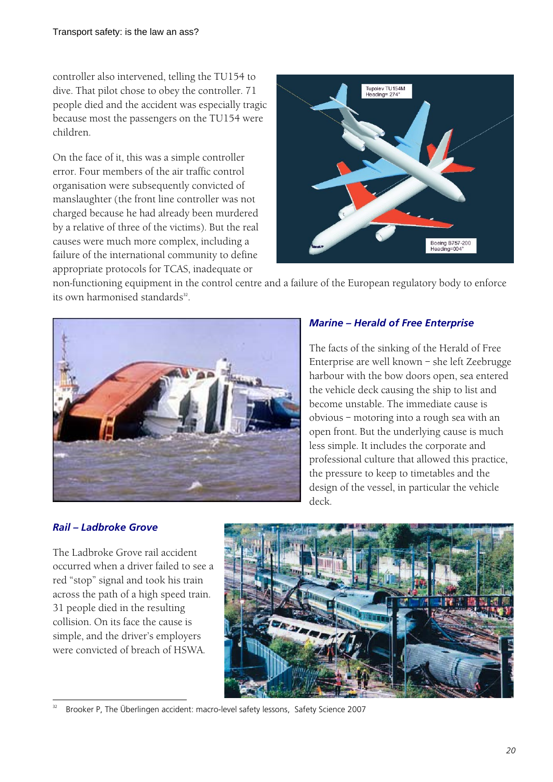controller also intervened, telling the TU154 to dive. That pilot chose to obey the controller. 71 people died and the accident was especially tragic because most the passengers on the TU154 were children.

On the face of it, this was a simple controller error. Four members of the air traffic control organisation were subsequently convicted of manslaughter (the front line controller was not charged because he had already been murdered by a relative of three of the victims). But the real causes were much more complex, including a failure of the international community to define appropriate protocols for TCAS, inadequate or



non-functioning equipment in the control centre and a failure of the European regulatory body to enforce its own harmonised standards<sup>32</sup>.



### *Marine – Herald of Free Enterprise*

The facts of the sinking of the Herald of Free Enterprise are well known – she left Zeebrugge harbour with the bow doors open, sea entered the vehicle deck causing the ship to list and become unstable. The immediate cause is obvious – motoring into a rough sea with an open front. But the underlying cause is much less simple. It includes the corporate and professional culture that allowed this practice, the pressure to keep to timetables and the design of the vessel, in particular the vehicle deck.

### *Rail – Ladbroke Grove*

The Ladbroke Grove rail accident occurred when a driver failed to see a red "stop" signal and took his train across the path of a high speed train. 31 people died in the resulting collision. On its face the cause is simple, and the driver's employers were convicted of breach of HSWA.



 $\overline{a}$ <sup>32</sup> Brooker P, The Überlingen accident: macro-level safety lessons, Safety Science 2007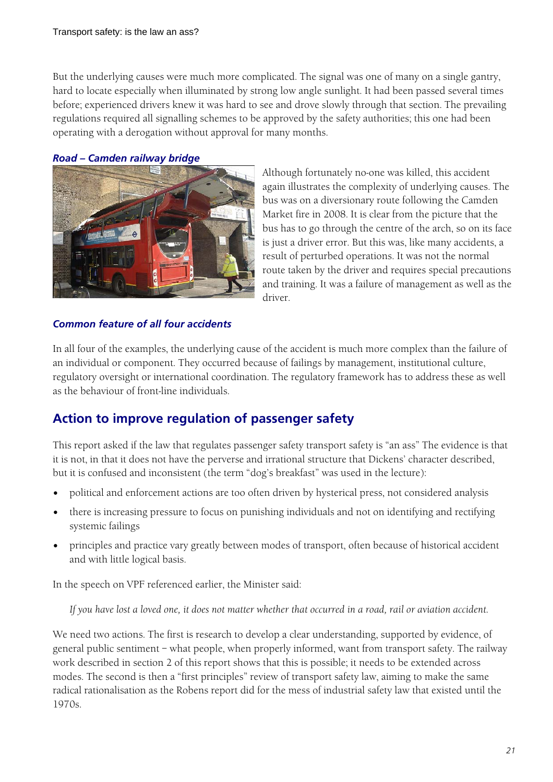But the underlying causes were much more complicated. The signal was one of many on a single gantry, hard to locate especially when illuminated by strong low angle sunlight. It had been passed several times before; experienced drivers knew it was hard to see and drove slowly through that section. The prevailing regulations required all signalling schemes to be approved by the safety authorities; this one had been operating with a derogation without approval for many months.

#### *Road – Camden railway bridge*



Although fortunately no-one was killed, this accident again illustrates the complexity of underlying causes. The bus was on a diversionary route following the Camden Market fire in 2008. It is clear from the picture that the bus has to go through the centre of the arch, so on its face is just a driver error. But this was, like many accidents, a result of perturbed operations. It was not the normal route taken by the driver and requires special precautions and training. It was a failure of management as well as the driver.

#### *Common feature of all four accidents*

In all four of the examples, the underlying cause of the accident is much more complex than the failure of an individual or component. They occurred because of failings by management, institutional culture, regulatory oversight or international coordination. The regulatory framework has to address these as well as the behaviour of front-line individuals.

# **Action to improve regulation of passenger safety**

This report asked if the law that regulates passenger safety transport safety is "an ass" The evidence is that it is not, in that it does not have the perverse and irrational structure that Dickens' character described, but it is confused and inconsistent (the term "dog's breakfast" was used in the lecture):

- political and enforcement actions are too often driven by hysterical press, not considered analysis
- there is increasing pressure to focus on punishing individuals and not on identifying and rectifying systemic failings
- principles and practice vary greatly between modes of transport, often because of historical accident and with little logical basis.

In the speech on VPF referenced earlier, the Minister said:

*If you have lost a loved one, it does not matter whether that occurred in a road, rail or aviation accident.* 

We need two actions. The first is research to develop a clear understanding, supported by evidence, of general public sentiment – what people, when properly informed, want from transport safety. The railway work described in section 2 of this report shows that this is possible; it needs to be extended across modes. The second is then a "first principles" review of transport safety law, aiming to make the same radical rationalisation as the Robens report did for the mess of industrial safety law that existed until the 1970s.